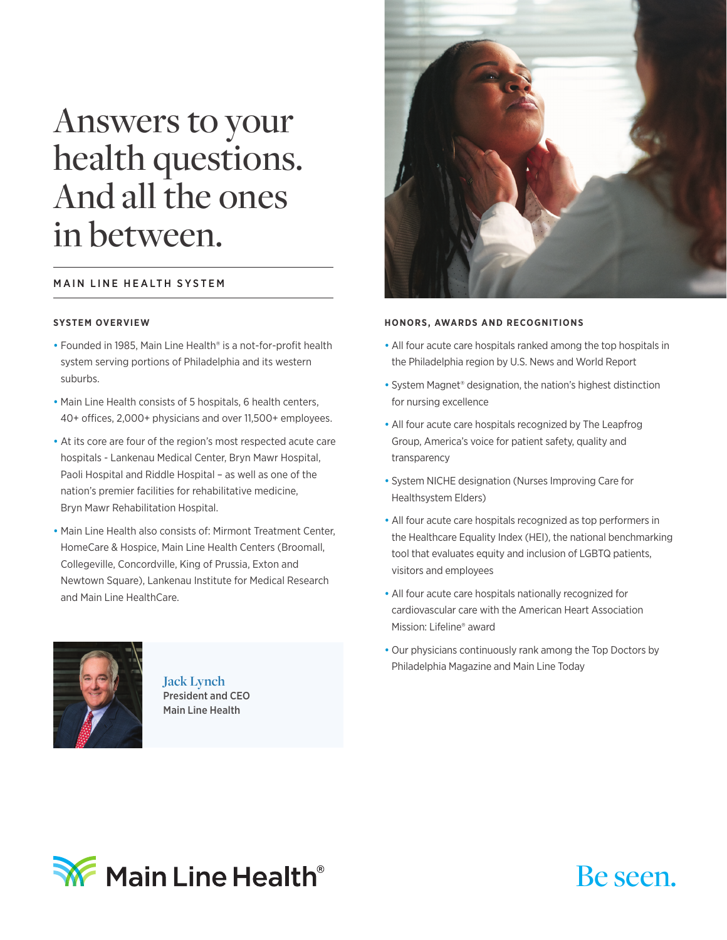# Answers to your health questions. And all the ones in between.

## MAIN LINE HEALTH SYSTEM

#### **SYSTEM OVERVIEW**

- Founded in 1985, Main Line Health® is a not-for-profit health system serving portions of Philadelphia and its western suburbs.
- Main Line Health consists of 5 hospitals, 6 health centers, 40+ offices, 2,000+ physicians and over 11,500+ employees.
- At its core are four of the region's most respected acute care hospitals - Lankenau Medical Center, Bryn Mawr Hospital, Paoli Hospital and Riddle Hospital – as well as one of the nation's premier facilities for rehabilitative medicine, Bryn Mawr Rehabilitation Hospital.
- Main Line Health also consists of: Mirmont Treatment Center, HomeCare & Hospice, Main Line Health Centers (Broomall, Collegeville, Concordville, King of Prussia, Exton and Newtown Square), Lankenau Institute for Medical Research and Main Line HealthCare.



**Jack Lynch** President and CEO Main Line Health



#### **HONORS, AWARDS AND RECOGNITIONS**

- All four acute care hospitals ranked among the top hospitals in the Philadelphia region by U.S. News and World Report
- System Magnet® designation, the nation's highest distinction for nursing excellence
- All four acute care hospitals recognized by The Leapfrog Group, America's voice for patient safety, quality and transparency
- System NICHE designation (Nurses Improving Care for Healthsystem Elders)
- All four acute care hospitals recognized as top performers in the Healthcare Equality Index (HEI), the national benchmarking tool that evaluates equity and inclusion of LGBTQ patients, visitors and employees
- All four acute care hospitals nationally recognized for cardiovascular care with the American Heart Association Mission: Lifeline® award
- Our physicians continuously rank among the Top Doctors by Philadelphia Magazine and Main Line Today



# Be seen.